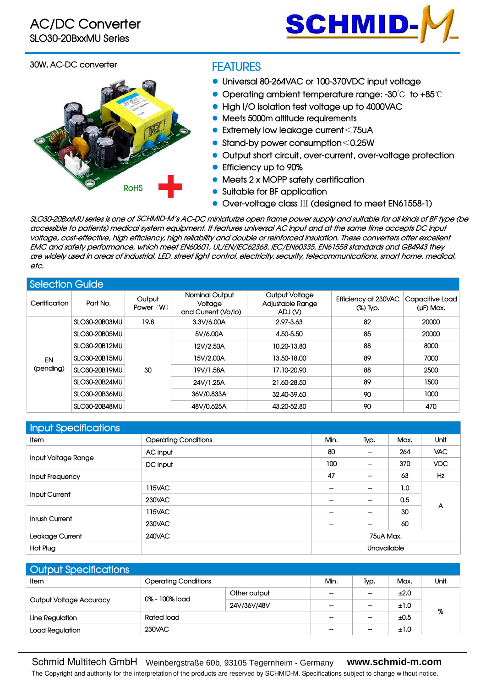

#### **30W, AC-DC converter**



### **FEATURES**

- **Universal 80-264VAC or 100-370VDC input voltage**
- **Operating ambient temperature range: -30**℃ **to +85**℃
- **High I/O isolation test voltage up to 4000VAC**
- **Meets 5000m altitude requirements**
- **Extremely low leakage current**<**75uA**
- **Stand-by power consumption**<**0.25W**
- **Output short circuit, over-current, over-voltage protection**
- **Efficiency up to 90%**
- **Meets 2 x MOPP safety certification**
- **Suitable for BF application**
- **Over-voltage class** Ⅲ **(designed to meet EN61558-1)**

SLO30-20BxxMU series is one of SCHMID-M´s AC-DC miniaturize open frame power supply and suitable for all kinds of BF type (be accessible to patients) medical system equipment. It features universal AC input and at the same time accepts DC input voltage, cost-effective, high efficiency, high reliability and double or reinforced insulation. These converters offer excellent **EMC and safety performance, which meet EN60601, UL/EN/IEC62368, IEC/EN60335, EN61558 standards and GB4943 they** are widely used in areas of industrial, LED, street light control, electricity, security, telecommunications, smart home, medical, **etc.**

|                           | <b>Selection Guide</b>                                 |                       |                                                         |                                               |                                  |                              |  |  |  |
|---------------------------|--------------------------------------------------------|-----------------------|---------------------------------------------------------|-----------------------------------------------|----------------------------------|------------------------------|--|--|--|
| Certification<br>Part No. |                                                        | Output<br>Power $(W)$ | <b>Nominal Output</b><br>Voltage<br>and Current (Vo/lo) | Output Voltage<br>Adjustable Range<br>ADJ (V) | Efficiency at 230VAC<br>(%) Typ. | Capacitive Load<br>(µF) Max. |  |  |  |
|                           | 82<br>SLO30-20B03MU<br>19.8<br>2.97-3.63<br>3.3V/6.00A | 20000                 |                                                         |                                               |                                  |                              |  |  |  |
|                           | SLO30-20B05MU                                          | 30                    | 5V/6.00A                                                | 4.50-5.50                                     | 85                               | 20000                        |  |  |  |
|                           | SLO30-20B12MU                                          |                       | 12V/2.50A                                               | 10.20-13.80                                   | 88                               | 8000                         |  |  |  |
| EN                        | SLO30-20B15MU                                          |                       | 15V/2.00A                                               | 13.50-18.00                                   | 89                               | 7000                         |  |  |  |
| (pending)                 | SLO30-20B19MU                                          |                       | 19V/1.58A                                               | 17.10-20.90                                   | 88                               | 2500                         |  |  |  |
|                           | SLO30-20B24MU                                          |                       | 24V/1.25A                                               | 21.60-28.50                                   | 89                               | 1500                         |  |  |  |
|                           | SLO30-20B36MU                                          |                       | 36V/0.833A                                              | 32.40-39.60                                   | 90                               | 1000                         |  |  |  |
|                           | SLO30-20B48MU                                          |                       | 48V/0.625A                                              | 43.20-52.80                                   | 90                               | 470                          |  |  |  |

| Input Specifications   |                             |           |                          |      |            |  |
|------------------------|-----------------------------|-----------|--------------------------|------|------------|--|
| Item                   | <b>Operating Conditions</b> | Min.      | Typ.                     | Max. | Unit       |  |
|                        | AC input                    | 80        | $\overline{\phantom{a}}$ | 264  | VAC.       |  |
| Input Voltage Range    | DC input                    | 100       | $\overline{\phantom{a}}$ | 370  | <b>VDC</b> |  |
| <b>Input Frequency</b> |                             | 47        | --                       | 63   | Hz         |  |
|                        | 115VAC                      | --        | --                       | 1.0  |            |  |
| Input Current          | 230VAC                      |           | --                       | 0.5  |            |  |
|                        | 115VAC                      |           | $\hspace{0.05cm}$        | 30   | A          |  |
| Inrush Current         | 230VAC                      |           | $\hspace{0.05cm}$        | 60   |            |  |
| Leakage Current        | 240VAC                      | 75uA Max. |                          |      |            |  |
| Hot Plug               |                             |           | Unavailable              |      |            |  |

| <b>Output Specifications</b>   |                             |                          |                          |                   |      |  |  |
|--------------------------------|-----------------------------|--------------------------|--------------------------|-------------------|------|--|--|
| ltem                           | <b>Operating Conditions</b> | Min.                     | Typ.                     | Max.              | Unit |  |  |
|                                | 0% - 100% load              | Other output             | $-$                      | $\hspace{0.05cm}$ | ±2.0 |  |  |
| <b>Output Voltage Accuracy</b> |                             | 24V/36V/48V              | $\overline{\phantom{a}}$ | $\hspace{0.05cm}$ | ±1.0 |  |  |
| Rated load<br>Line Regulation  |                             | $\overline{\phantom{a}}$ | $\hspace{0.05cm}$        | ±0.5              | %    |  |  |
| Load Regulation                | 230VAC                      |                          | $\overline{\phantom{m}}$ | $\hspace{0.05cm}$ | ±1.0 |  |  |

 The Copyright and authority for the interpretation of the products are reserved by SCHMID-M. Specifications subject to change without notice. Schmid Multitech GmbH Weinbergstraße 60b, 93105 Tegernheim - Germany **www.schmid-m.com**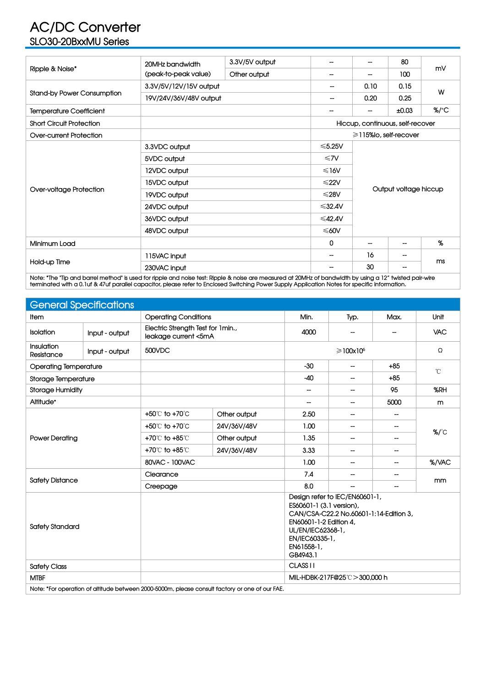## **AC/DC Converter SLO30-20BxxMU Series**

|                                   | 20MHz bandwidth        | 3.3V/5V output | $\overline{\phantom{a}}$ | $\overline{\phantom{a}}$         | 80                           | mV               |  |
|-----------------------------------|------------------------|----------------|--------------------------|----------------------------------|------------------------------|------------------|--|
| Ripple & Noise*                   | (peak-to-peak value)   | Other output   | $\hspace{0.05cm}$        | $\overline{\phantom{a}}$         | 100                          |                  |  |
|                                   | 3.3V/5V/12V/15V output |                | --                       | 0.10                             | 0.15                         |                  |  |
| <b>Stand-by Power Consumption</b> | 19V/24V/36V/48V output |                | --                       | 0.20                             | 0.25                         | W                |  |
| <b>Temperature Coefficient</b>    |                        |                | $\overline{\phantom{a}}$ | $\overline{\phantom{a}}$         | ±0.03                        | $%$ $^{\circ}$ C |  |
| <b>Short Circuit Protection</b>   |                        |                |                          | Hiccup, continuous, self-recover |                              |                  |  |
| Over-current Protection           |                        |                |                          |                                  | $\geq$ 115% lo, self-recover |                  |  |
|                                   | 3.3VDC output          |                | $≤5.25V$                 |                                  |                              |                  |  |
|                                   | 5VDC output            | $\leq 7V$      |                          |                                  |                              |                  |  |
|                                   | 12VDC output           | $\leq 16V$     | Output voltage hiccup    |                                  |                              |                  |  |
|                                   | 15VDC output           | $≤22V$         |                          |                                  |                              |                  |  |
| Over-voltage Protection           | 19VDC output           | ≤28V           |                          |                                  |                              |                  |  |
|                                   | 24VDC output           | $\leq 32.4V$   |                          |                                  |                              |                  |  |
|                                   | 36VDC output           | ≤42.4 $V$      |                          |                                  |                              |                  |  |
|                                   | 48VDC output           |                |                          |                                  |                              | $≤60V$           |  |
| Minimum Load                      |                        |                | 0                        |                                  | $\overline{\phantom{a}}$     | %                |  |
|                                   | 115VAC input           |                | $\overline{\phantom{a}}$ | 16                               | $\overline{\phantom{a}}$     |                  |  |
| Hold-up Time                      | 230VAC input           |                |                          | 30                               | --                           | ms               |  |
|                                   |                        |                |                          |                                  |                              |                  |  |

Note: \*The "Tip and barrel method" is used for ripple and noise test: Ripple & noise are measured at 20MHz of bandwidth by using a 12" twisted pair-wire terminated with a 0.1uf & 47uf parallel capacitor, please refer to Enclosed Switching Power Supply Application Notes for specific information.

|                                                                                                                                                                                                                           | <b>General Specifications</b> |                             |                                                           |                              |                          |                          |                    |  |
|---------------------------------------------------------------------------------------------------------------------------------------------------------------------------------------------------------------------------|-------------------------------|-----------------------------|-----------------------------------------------------------|------------------------------|--------------------------|--------------------------|--------------------|--|
| Item                                                                                                                                                                                                                      |                               | <b>Operating Conditions</b> |                                                           | Min.                         | Typ.                     | Max.                     | Unit               |  |
| Isolation                                                                                                                                                                                                                 | Input - output                |                             | Electric Strength Test for 1min.,<br>leakage current <5mA |                              | $\overline{\phantom{a}}$ | --                       | <b>VAC</b>         |  |
| Insulation<br>Resistance                                                                                                                                                                                                  | Input - output                | 500VDC                      |                                                           |                              | $\geq 100 \times 10^6$   | Ω                        |                    |  |
| <b>Operating Temperature</b>                                                                                                                                                                                              |                               |                             |                                                           | $-30$                        | --                       | $+85$                    | $^\circ\!{\rm C}$  |  |
| Storage Temperature                                                                                                                                                                                                       |                               |                             |                                                           | $-40$                        | $\overline{\phantom{a}}$ | $+85$                    |                    |  |
| <b>Storage Humidity</b>                                                                                                                                                                                                   |                               |                             |                                                           | --                           | $\overline{\phantom{a}}$ | 95                       | %RH                |  |
| Altitude*                                                                                                                                                                                                                 |                               |                             |                                                           | --                           | $\overline{\phantom{a}}$ | 5000                     | m                  |  |
|                                                                                                                                                                                                                           |                               | +50°C to +70°C              | Other output                                              | 2.50                         | $\hspace{0.05cm}$        | --                       |                    |  |
|                                                                                                                                                                                                                           |                               | +50°C to +70°C              | 24V/36V/48V                                               | 1.00                         | $\overline{\phantom{a}}$ | --                       | $\%$ / $\degree$ C |  |
| <b>Power Derating</b>                                                                                                                                                                                                     |                               | +70℃ to +85℃                | Other output                                              | 1.35                         | $\overline{\phantom{a}}$ | --                       |                    |  |
|                                                                                                                                                                                                                           |                               | +70℃ to +85℃                | 24V/36V/48V                                               | 3.33                         | $\hspace{0.05cm}$        | --                       |                    |  |
|                                                                                                                                                                                                                           |                               | 80VAC - 100VAC              |                                                           | 1.00                         | $\overline{\phantom{m}}$ | $\overline{\phantom{m}}$ | %/VAC              |  |
|                                                                                                                                                                                                                           |                               | Clearance                   |                                                           | 7.4                          | --                       | --                       |                    |  |
| <b>Safety Distance</b>                                                                                                                                                                                                    |                               | Creepage                    |                                                           | 8.0                          | $\overline{\phantom{a}}$ | $\overline{\phantom{a}}$ | mm                 |  |
| Design refer to IEC/EN60601-1,<br>ES60601-1 (3.1 version),<br>CAN/CSA-C22.2 No.60601-1:14-Edition 3,<br>EN60601-1-2 Edition 4,<br><b>Safety Standard</b><br>UL/EN/IEC62368-1,<br>EN/IEC60335-1,<br>EN61558-1,<br>GB4943.1 |                               |                             |                                                           |                              |                          |                          |                    |  |
| <b>Safety Class</b>                                                                                                                                                                                                       |                               |                             |                                                           | CLASS <sub>II</sub>          |                          |                          |                    |  |
| <b>MTBF</b>                                                                                                                                                                                                               |                               |                             |                                                           | MIL-HDBK-217F@25°C>300,000 h |                          |                          |                    |  |

 $\blacksquare$  Note: \*For operation of altitude between 2000-5000m, please consult factory or one of our FAE.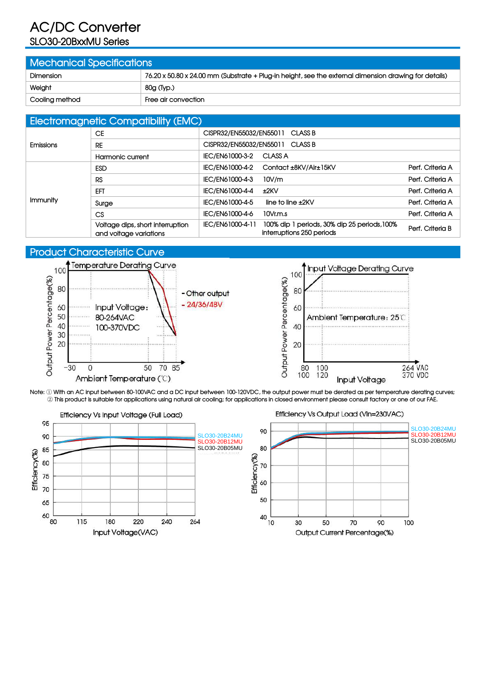# **AC/DC Converter**

# **SLO30-20BxxMU Series**

| <b>Mechanical Specifications</b> |                                                                                                       |  |  |  |  |  |
|----------------------------------|-------------------------------------------------------------------------------------------------------|--|--|--|--|--|
| <b>Dimension</b>                 | 76.20 x 50.80 x 24.00 mm (Substrate + Plug-in height, see the external dimension drawing for details) |  |  |  |  |  |
| Weight                           | 80g (Typ.)                                                                                            |  |  |  |  |  |
| Cooling method                   | Free air convection                                                                                   |  |  |  |  |  |

#### **Electromagnetic Compatibility (EMC)**

|                  | <b>EIVOITUITUGITUITU VUITIPUITUITT</b> (EIVIU)             |                                                                                               |                  |
|------------------|------------------------------------------------------------|-----------------------------------------------------------------------------------------------|------------------|
|                  | <b>CE</b>                                                  | CISPR32/EN55032/EN55011 CLASS B                                                               |                  |
| <b>Emissions</b> | <b>RE</b>                                                  | CISPR32/EN55032/EN55011 CLASS B                                                               |                  |
|                  | Harmonic current                                           | IEC/EN61000-3-2 CLASS A                                                                       |                  |
|                  | <b>ESD</b>                                                 | IEC/EN61000-4-2 Contact ±8KV/Air±15KV                                                         | Perf. Criteria A |
|                  | <b>RS</b>                                                  | IEC/EN61000-4-3<br>10V/m                                                                      | Perf. Criteria A |
|                  | EFT                                                        | IEC/EN61000-4-4<br>±2KV                                                                       | Perf. Criteria A |
| Immunity         | Surge                                                      | IEC/EN61000-4-5<br>line to line $\pm 2$ KV                                                    | Perf. Criteria A |
|                  | CS                                                         | IEC/EN61000-4-6<br>$10V$ r.m.s                                                                | Perf. Criteria A |
|                  | Voltage dips, short interruption<br>and voltage variations | 100% dip 1 periods, 30% dip 25 periods, 100%<br>IEC/EN61000-4-11<br>interruptions 250 periods | Perf. Criteria B |

### **Product Characteristic Curve**





Note: 1 With an AC input between 80-100VAC and a DC input between 100-120VDC, the output power must be derated as per temperature derating curves; This product is suitable for applications using natural air cooling; for applications in closed environment please consult factory or one of our FAE.